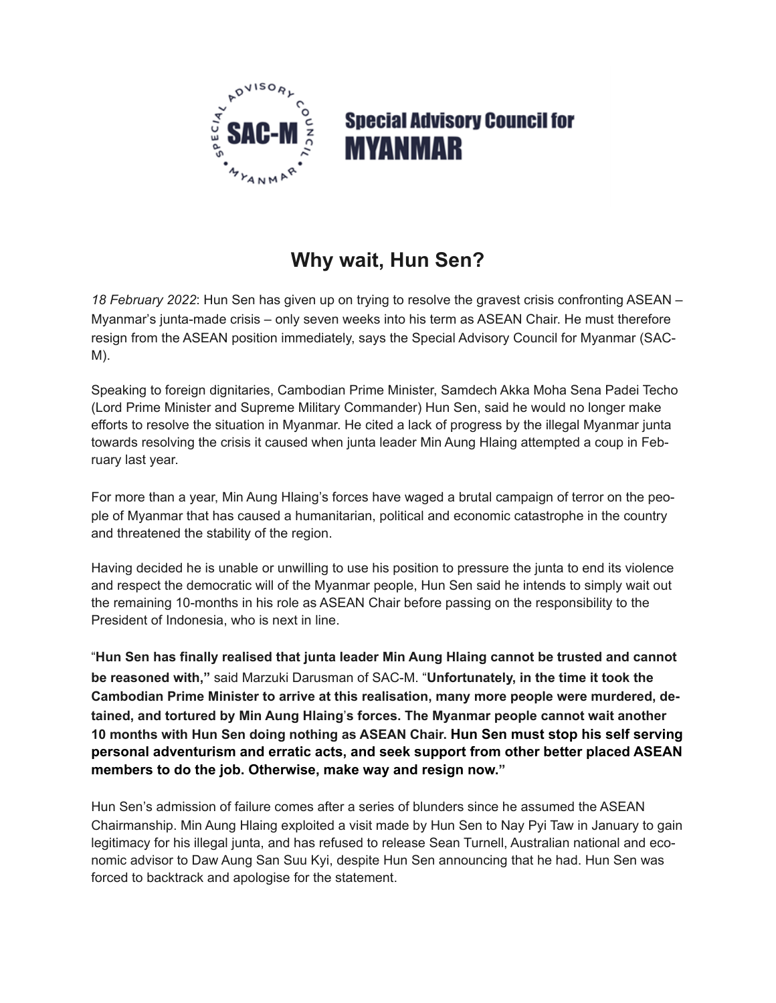

## **Special Advisory Council for MYANMAR**

## **Why wait, Hun Sen?**

*18 February 2022*: Hun Sen has given up on trying to resolve the gravest crisis confronting ASEAN – Myanmar's junta-made crisis – only seven weeks into his term as ASEAN Chair. He must therefore resign from the ASEAN position immediately, says the Special Advisory Council for Myanmar (SAC-M).

Speaking to foreign dignitaries, Cambodian Prime Minister, Samdech Akka Moha Sena Padei Techo (Lord Prime Minister and Supreme Military Commander) Hun Sen, said he would no longer make efforts to resolve the situation in Myanmar. He cited a lack of progress by the illegal Myanmar junta towards resolving the crisis it caused when junta leader Min Aung Hlaing attempted a coup in February last year.

For more than a year, Min Aung Hlaing's forces have waged a brutal campaign of terror on the people of Myanmar that has caused a humanitarian, political and economic catastrophe in the country and threatened the stability of the region.

Having decided he is unable or unwilling to use his position to pressure the junta to end its violence and respect the democratic will of the Myanmar people, Hun Sen said he intends to simply wait out the remaining 10-months in his role as ASEAN Chair before passing on the responsibility to the President of Indonesia, who is next in line.

"**Hun Sen has finally realised that junta leader Min Aung Hlaing cannot be trusted and cannot be reasoned with,"** said Marzuki Darusman of SAC-M. "**Unfortunately, in the time it took the Cambodian Prime Minister to arrive at this realisation, many more people were murdered, detained, and tortured by Min Aung Hlaing**!**s forces. The Myanmar people cannot wait another 10 months with Hun Sen doing nothing as ASEAN Chair. Hun Sen must stop his self serving personal adventurism and erratic acts, and seek support from other better placed ASEAN members to do the job. Otherwise, make way and resign now."** 

Hun Sen's admission of failure comes after a series of blunders since he assumed the ASEAN Chairmanship. Min Aung Hlaing exploited a visit made by Hun Sen to Nay Pyi Taw in January to gain legitimacy for his illegal junta, and has refused to release Sean Turnell, Australian national and economic advisor to Daw Aung San Suu Kyi, despite Hun Sen announcing that he had. Hun Sen was forced to backtrack and apologise for the statement.